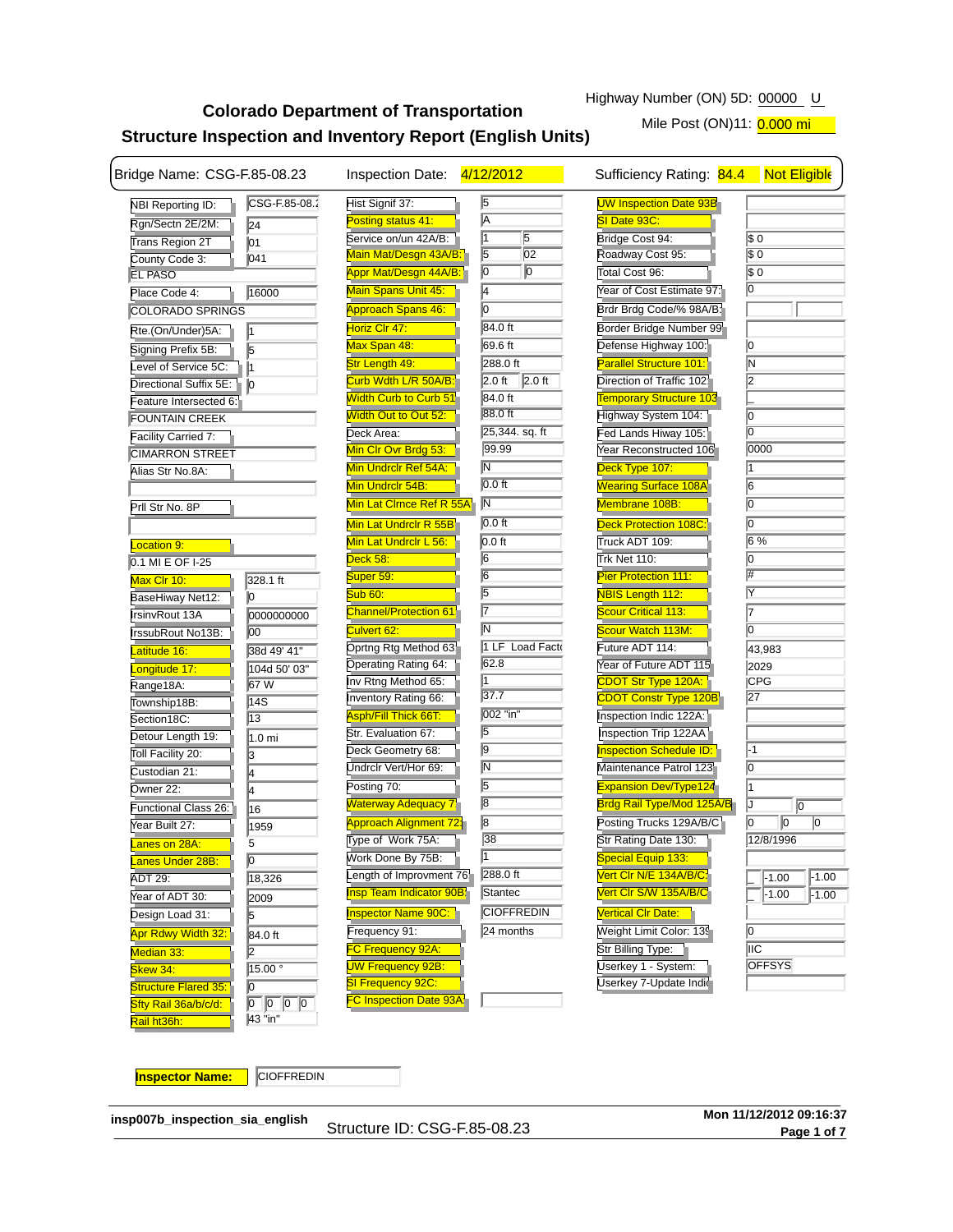# **Colorado Department of Transportation Structure Inspection and Inventory Report (English Units)**

Mile Post (ON)11: 0.000 mi

| Bridge Name: CSG-F.85-08.23                |                                            | Inspection Date: 4/12/2012    |                              | Sufficiency Rating: 84.4                      | <b>Not Eligible</b>    |
|--------------------------------------------|--------------------------------------------|-------------------------------|------------------------------|-----------------------------------------------|------------------------|
| <b>NBI Reporting ID:</b>                   | CSG-F.85-08.2                              | Hist Signif 37:               | $\sqrt{5}$                   | <b>UW Inspection Date 93B</b>                 |                        |
| Rgn/Sectn 2E/2M:                           | 24                                         | Posting status 41:            | $\overline{\mathsf{A}}$      | SI Date 93C:                                  |                        |
| <b>Trans Region 2T</b>                     | 01                                         | Service on/un 42A/B:          | n<br>5                       | Bridge Cost 94:                               | $\sqrt{50}$            |
| County Code 3:                             | 041                                        | Main Mat/Desgn 43A/B          | $\overline{5}$<br>02         | Roadway Cost 95:                              | $\sqrt{50}$            |
| <b>EL PASO</b>                             |                                            | <b>Appr Mat/Desgn 44A/B:</b>  | $\overline{0}$<br>$\sqrt{0}$ | Total Cost 96:                                | $\sqrt{50}$            |
| Place Code 4:                              | 16000                                      | Main Spans Unit 45:           | 4                            | Year of Cost Estimate 97:                     | $\overline{0}$         |
| COLORADO SPRINGS                           |                                            | <b>Approach Spans 46:</b>     | Iо                           | Brdr Brdg Code/% 98A/B                        |                        |
| Rte.(On/Under)5A:                          | l1                                         | Horiz Clr 47:                 | 84.0 ft                      | Border Bridge Number 99                       |                        |
| Signing Prefix 5B:                         | 5                                          | Max Span 48:                  | 69.6 ft                      | Defense Highway 100:                          | 10                     |
| Level of Service 5C:                       | l1                                         | Str Length 49:                | 288.0 ft                     | <b>Parallel Structure 101:</b>                | lΝ                     |
| Directional Suffix 5E:                     |                                            | Curb Wdth L/R 50A/B:          | $2.0$ ft<br>2.0 ft           | Direction of Traffic 102                      | l2                     |
| Feature Intersected 6:                     | 10                                         | <b>Width Curb to Curb 51</b>  | 84.0 ft                      | <b>Temporary Structure 103</b>                |                        |
| <b>FOUNTAIN CREEK</b>                      |                                            | Width Out to Out 52:          | 88.0 ft                      | Highway System 104:                           | lo                     |
|                                            |                                            | Deck Area:                    | 25,344. sq. ft               | Fed Lands Hiway 105:                          | Iо                     |
| Facility Carried 7:                        |                                            | Min CIr Ovr Brdg 53:          | 99.99                        | Year Reconstructed 106                        | 0000                   |
| <b>CIMARRON STREET</b><br>Alias Str No.8A: |                                            | Min Undrclr Ref 54A:          | $\overline{\mathsf{N}}$      | Deck Type 107:                                | 11                     |
|                                            |                                            | Min Undrclr 54B:              | $0.0$ ft                     | <b>Wearing Surface 108A</b>                   | 6                      |
|                                            |                                            |                               | N                            | Membrane 108B:                                | $\overline{0}$         |
| Prll Str No. 8P                            |                                            | Min Lat Clrnce Ref R 55A      |                              |                                               |                        |
|                                            |                                            | Min Lat Undrclr R 55B         | $0.0$ ft                     | <b>Deck Protection 108C:</b>                  | 10                     |
| <b>Location 9:</b>                         |                                            | Min Lat Undrclr L 56:         | $0.0$ ft                     | Truck ADT 109:                                | 6%                     |
| 0.1 MI E OF I-25                           |                                            | Deck 58:                      | $\overline{6}$               | Trk Net 110:                                  | lo                     |
| Max Clr 10:                                | 328.1 ft                                   | Super 59:                     | $\overline{6}$               | <b>Pier Protection 111:</b>                   |                        |
| BaseHiway Net12:                           | 10                                         | <b>Sub 60:</b>                | $\overline{5}$               | <b>NBIS Length 112:</b>                       |                        |
| IrsinvRout 13A                             | 0000000000                                 | <b>Channel/Protection 61:</b> | $\overline{7}$               | <b>Scour Critical 113:</b>                    |                        |
| IrssubRout No13B:                          | 00                                         | Culvert 62:                   | $\overline{\mathsf{N}}$      | Scour Watch 113M:                             | IО                     |
| Latitude 16:                               | 38d 49' 41"                                | Oprtng Rtg Method 63:         | 1 LF Load Fact               | Future ADT 114:                               | 43,983                 |
| Longitude 17:                              | 104d 50' 03"                               | Operating Rating 64:          | 62.8                         | Year of Future ADT 115                        | 2029                   |
| Range18A:                                  | 67 W                                       | Inv Rtng Method 65:           |                              | CDOT Str Type 120A:                           | <b>CPG</b>             |
| Township18B:                               | 14S                                        | Inventory Rating 66:          | 37.7                         | <b>CDOT Constr Type 120B</b>                  | 27                     |
| Section18C:                                | 13                                         | <b>Asph/Fill Thick 66T:</b>   | 002 "in"                     | Inspection Indic 122A:                        |                        |
| Detour Length 19:                          | 1.0 mi                                     | Str. Evaluation 67:           | $\overline{5}$               | Inspection Trip 122AA                         |                        |
| Toll Facility 20:                          | 3                                          | Deck Geometry 68:             | 9                            | <b>Inspection Schedule ID:</b>                | -1                     |
| Custodian 21:                              | 4                                          | Undrclr Vert/Hor 69:          | $\overline{\mathsf{N}}$      | Maintenance Patrol 123                        | 10                     |
| Owner 22:                                  | 4                                          | Posting 70:                   | $\sqrt{5}$                   | <b>Expansion Dev/Type124</b>                  |                        |
| Functional Class 26:                       | 16                                         | <b>Waterway Adequacy 7</b>    | $\overline{8}$               | <b>Brdg Rail Type/Mod 125A/B</b>              | IJ<br>$\overline{0}$   |
| Year Built 27:                             | 1959                                       | <b>Approach Alignment 72;</b> | $\overline{8}$               | Posting Trucks 129A/B/C                       | $\sqrt{0}$<br>10<br>10 |
| anes on 28A:                               | 5                                          | Type of Work 75A:             | 38                           | Str Rating Date 130:                          | 12/8/1996              |
|                                            | 10                                         | Work Done By 75B:             | 1                            | Special Equip 133:                            |                        |
| <u>Lanes Under 28B:</u><br>ADT 29:         | 18,326                                     | Length of Improvment 76       | 288.0 ft                     | Vert CIr N/E 134A/B/C:                        | $-1.00$<br>$-1.00$     |
| Year of ADT 30:                            |                                            | Insp Team Indicator 90B       | Stantec                      | Vert CIr S/W 135A/B/C                         | $-1.00$<br>$-1.00$     |
|                                            | 2009                                       | Inspector Name 90C:           | <b>CIOFFREDIN</b>            | <b>Vertical CIr Date:</b>                     |                        |
| Design Load 31:                            | 5                                          |                               | 24 months                    |                                               | 10                     |
| Apr Rdwy Width 32:                         | 84.0 ft                                    | Frequency 91:                 |                              | Weight Limit Color: 139                       | <b>IIIC</b>            |
| Median 33:                                 | 2                                          | FC Frequency 92A:             |                              | Str Billing Type:                             | <b>OFFSYS</b>          |
| Skew 34:                                   | 15.00°                                     | UW Frequency 92B:             |                              | Userkey 1 - System:<br>Userkey 7-Update India |                        |
| Structure Flared 35:                       | 10                                         | SI Frequency 92C:             |                              |                                               |                        |
| Sfty Rail 36a/b/c/d:                       | $\boxed{0}$ $\boxed{0}$<br>$\sqrt{6}$<br>0 | <b>FC Inspection Date 93A</b> |                              |                                               |                        |
| Rail ht36h:                                | 43 "in"                                    |                               |                              |                                               |                        |

**Inspector Name:** CIOFFREDIN

**insp007b\_inspection\_sia\_english**

Structure ID: CSG-F.85-08.23 **Page 1 of 7**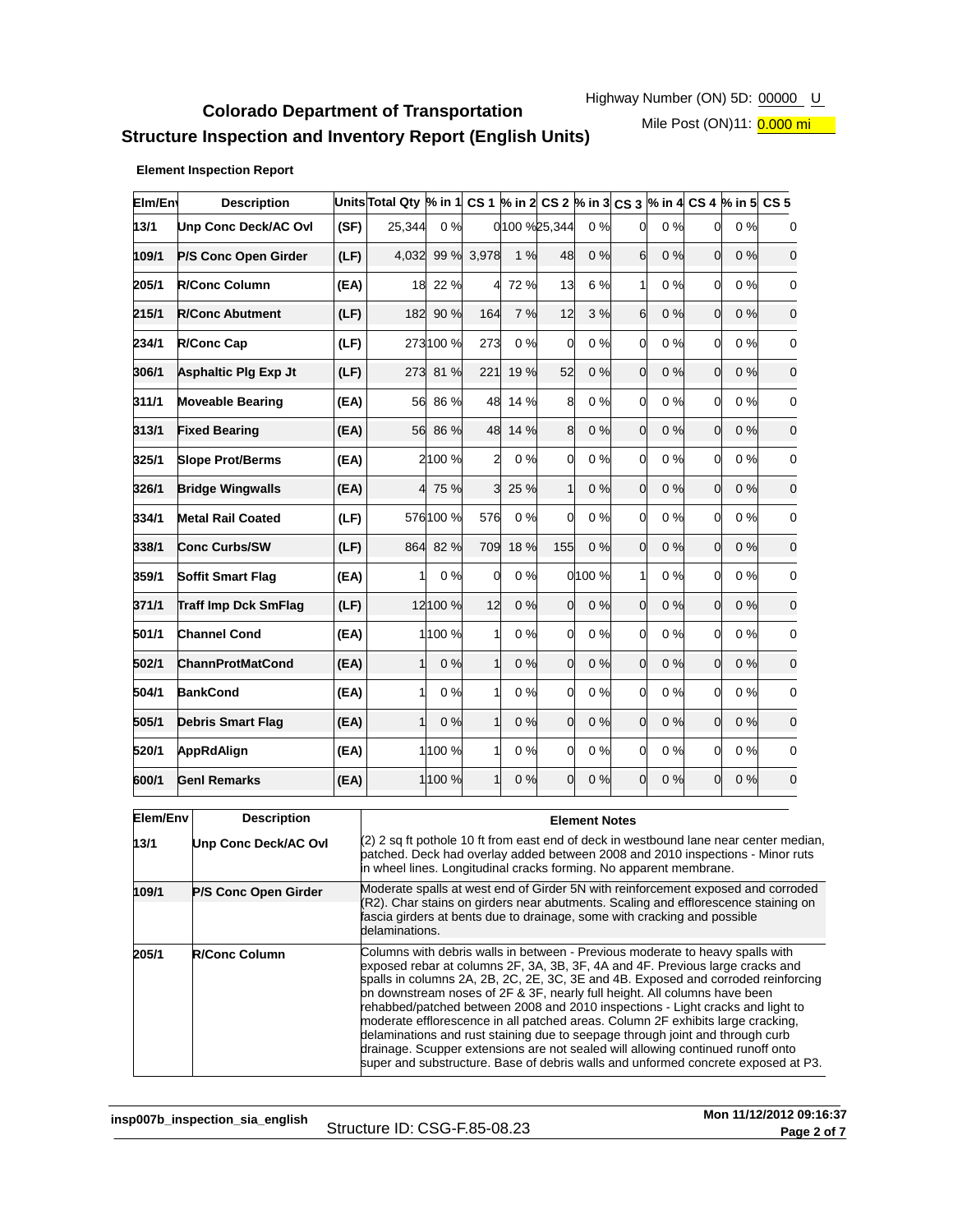# **Colorado Department of Transportation Structure Inspection and Inventory Report (English Units)**

Mile Post (ON)11: 0.000 mi

#### **Element Inspection Report**

| Elm/En | <b>Description</b>          |      | Units Total Qty $\%$ in 1 CS 1 $\%$ in 2 CS 2 $\%$ in 3 CS 3 $\%$ in 4 CS 4 $\%$ in 5 CS 5 |           |                |         |                 |       |                  |       |              |    |                |
|--------|-----------------------------|------|--------------------------------------------------------------------------------------------|-----------|----------------|---------|-----------------|-------|------------------|-------|--------------|----|----------------|
| 13/1   | Unp Conc Deck/AC Ovl        | (SF) | 25,344                                                                                     | 0%        |                |         | 0 100 % 25, 344 | 0%    | $\Omega$         | 0%    | 0            | 0% | 0              |
| 109/1  | P/S Conc Open Girder        | (LF) | 4,032                                                                                      | 99 %      | 3,978          | 1%      | 48              | 0%    | 6                | 0%    | <sub>0</sub> | 0% | $\mathbf 0$    |
| 205/1  | <b>R/Conc Column</b>        | (EA) | 18                                                                                         | 22 %      |                | 4 72 %  | 13              | 6 %   | 1                | 0%    | 0            | 0% | $\mathbf 0$    |
| 215/1  | <b>R/Conc Abutment</b>      | (LF) | 182                                                                                        | 90 %      | 164            | 7 %     | 12              | 3 %   | $6 \overline{6}$ | 0%    | 0            | 0% | $\mathbf 0$    |
| 234/1  | <b>R/Conc Cap</b>           | (LF) |                                                                                            | 273 100 % | 273            | 0%      | <sub>0</sub>    | 0%    | 0                | 0%    | 0            | 0% | $\mathbf 0$    |
| 306/1  | <b>Asphaltic Plg Exp Jt</b> | (LF) |                                                                                            | 273 81 %  | 221            | 19 %    | 52              | 0%    | $\Omega$         | 0%    | $\Omega$     | 0% | $\mathbf 0$    |
| 311/1  | <b>Moveable Bearing</b>     | (EA) | 56                                                                                         | 86 %      |                | 48 14 % | 8               | 0%    | <sub>0</sub>     | 0%    | 0            | 0% | $\mathbf 0$    |
| 313/1  | <b>Fixed Bearing</b>        | (EA) | 56                                                                                         | 86 %      |                | 48 14 % | 8               | 0%    | <sub>0</sub>     | 0%    | <sub>0</sub> | 0% | $\overline{0}$ |
| 325/1  | <b>Slope Prot/Berms</b>     | (EA) |                                                                                            | 2100 %    | $\overline{2}$ | 0%      | 0               | 0%    | $\Omega$         | 0%    | 0            | 0% | $\mathbf 0$    |
| 326/1  | <b>Bridge Wingwalls</b>     | (EA) |                                                                                            | 4 75 %    | $\mathbf{3}$   | 25 %    | $\mathbf{1}$    | 0%    | $\Omega$         | 0%    | <sub>0</sub> | 0% | $\mathbf 0$    |
| 334/1  | <b>Metal Rail Coated</b>    | (LF) |                                                                                            | 576 100 % | 576            | 0%      | 0               | 0%    | $\Omega$         | $0\%$ | <sub>0</sub> | 0% | $\mathbf 0$    |
| 338/1  | <b>Conc Curbs/SW</b>        | (LF) | 864                                                                                        | 82%       | 709            | 18 %    | 155             | 0%    | $\Omega$         | 0%    | <sub>0</sub> | 0% | $\mathbf 0$    |
| 359/1  | <b>Soffit Smart Flag</b>    | (EA) | 1                                                                                          | 0%        | $\Omega$       | 0%      |                 | 0100% |                  | $0\%$ | 0            | 0% | $\mathbf 0$    |
| 371/1  | <b>Traff Imp Dck SmFlag</b> | (LF) |                                                                                            | 12 100 %  | 12             | 0%      | <sub>0</sub>    | 0%    | $\Omega$         | 0%    | 0            | 0% | $\overline{0}$ |
| 501/1  | <b>Channel Cond</b>         | (EA) |                                                                                            | 1 100 %   | 1              | 0%      | 0               | 0%    | <sub>0</sub>     | 0%    | 0            | 0% | $\mathbf 0$    |
| 502/1  | <b>ChannProtMatCond</b>     | (EA) | $\mathbf{1}$                                                                               | 0%        | 1              | 0%      | 0               | 0%    | <sub>0</sub>     | 0%    | <sub>0</sub> | 0% | $\mathbf 0$    |
| 504/1  | <b>BankCond</b>             | (EA) | 1                                                                                          | 0%        | $\mathbf{1}$   | 0%      | 0               | 0%    | $\Omega$         | 0%    | 0l           | 0% | $\mathbf 0$    |
| 505/1  | <b>Debris Smart Flag</b>    | (EA) | $\mathbf{1}$                                                                               | 0%        | 1              | 0%      | <sub>0</sub>    | 0%    | $\Omega$         | 0%    | <sub>0</sub> | 0% | $\mathbf 0$    |
| 520/1  | AppRdAlign                  | (EA) |                                                                                            | 1 100 %   | 11             | 0%      | 0               | 0%    | 0                | 0%    | <sub>0</sub> | 0% | $\mathbf 0$    |
| 600/1  | <b>Genl Remarks</b>         | (EA) |                                                                                            | 1 100 %   | $\mathbf{1}$   | 0%      | <sub>0</sub>    | 0%    | $\Omega$         | 0%    | 0            | 0% | $\mathbf 0$    |

| Elem/Env | <b>Description</b>   | <b>Element Notes</b>                                                                                                                                                                                                                                                                                                                                                                                                                                                                                                                                                                                                                                                                                                                                           |  |  |  |  |
|----------|----------------------|----------------------------------------------------------------------------------------------------------------------------------------------------------------------------------------------------------------------------------------------------------------------------------------------------------------------------------------------------------------------------------------------------------------------------------------------------------------------------------------------------------------------------------------------------------------------------------------------------------------------------------------------------------------------------------------------------------------------------------------------------------------|--|--|--|--|
| 13/1     | Unp Conc Deck/AC Ovi | (2) 2 sq ft pothole 10 ft from east end of deck in westbound lane near center median,<br>patched. Deck had overlay added between 2008 and 2010 inspections - Minor ruts<br>in wheel lines. Longitudinal cracks forming. No apparent membrane.                                                                                                                                                                                                                                                                                                                                                                                                                                                                                                                  |  |  |  |  |
| 109/1    | P/S Conc Open Girder | Moderate spalls at west end of Girder 5N with reinforcement exposed and corroded<br>(R2). Char stains on girders near abutments. Scaling and efflorescence staining on<br>fascia girders at bents due to drainage, some with cracking and possible<br>delaminations.                                                                                                                                                                                                                                                                                                                                                                                                                                                                                           |  |  |  |  |
| 205/1    | <b>R/Conc Column</b> | Columns with debris walls in between - Previous moderate to heavy spalls with<br>exposed rebar at columns 2F, 3A, 3B, 3F, 4A and 4F. Previous large cracks and<br>spalls in columns 2A, 2B, 2C, 2E, 3C, 3E and 4B. Exposed and corroded reinforcing<br>on downstream noses of 2F & 3F, nearly full height. All columns have been<br>rehabbed/patched between 2008 and 2010 inspections - Light cracks and light to<br>moderate efflorescence in all patched areas. Column 2F exhibits large cracking,<br>delaminations and rust staining due to seepage through joint and through curb<br>drainage. Scupper extensions are not sealed will allowing continued runoff onto<br>super and substructure. Base of debris walls and unformed concrete exposed at P3. |  |  |  |  |

**insp007b\_inspection\_sia\_english**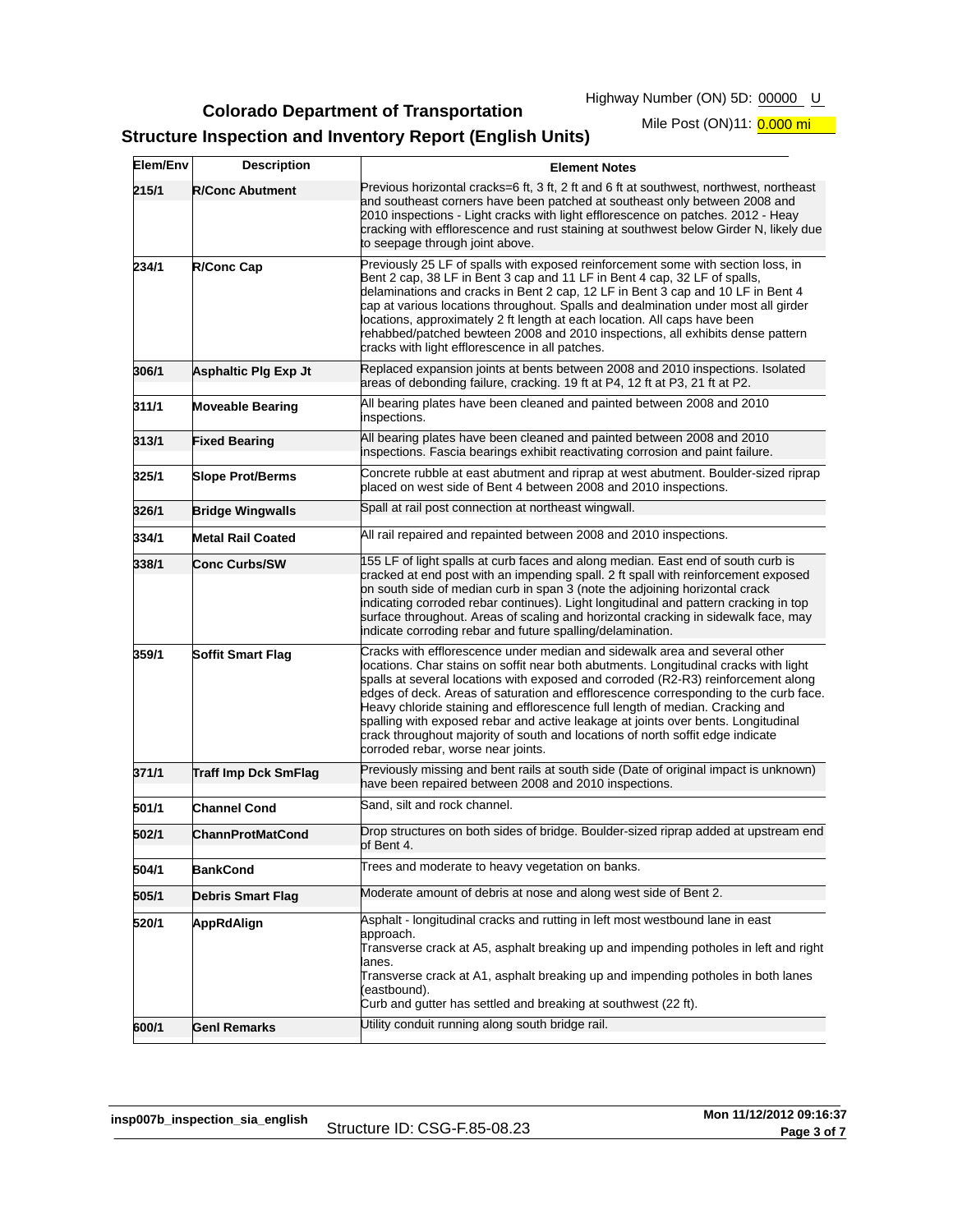**Colorado Department of Transportation**

Highway Number (ON) 5D: 00000 U

## **Structure Inspection and Inventory Report (English Units)**

Mile Post (ON)11: 0.000 mi

| Elem/Env | <b>Description</b>          | <b>Element Notes</b>                                                                                                                                                                                                                                                                                                                                                                                                                                                                                                                                                                                                                          |
|----------|-----------------------------|-----------------------------------------------------------------------------------------------------------------------------------------------------------------------------------------------------------------------------------------------------------------------------------------------------------------------------------------------------------------------------------------------------------------------------------------------------------------------------------------------------------------------------------------------------------------------------------------------------------------------------------------------|
| 215/1    | <b>R/Conc Abutment</b>      | Previous horizontal cracks=6 ft, 3 ft, 2 ft and 6 ft at southwest, northwest, northeast<br>and southeast corners have been patched at southeast only between 2008 and<br>2010 inspections - Light cracks with light efflorescence on patches. 2012 - Heay<br>cracking with efflorescence and rust staining at southwest below Girder N, likely due<br>to seepage through joint above.                                                                                                                                                                                                                                                         |
| 234/1    | <b>R/Conc Cap</b>           | Previously 25 LF of spalls with exposed reinforcement some with section loss, in<br>Bent 2 cap, 38 LF in Bent 3 cap and 11 LF in Bent 4 cap, 32 LF of spalls,<br>delaminations and cracks in Bent 2 cap, 12 LF in Bent 3 cap and 10 LF in Bent 4<br>cap at various locations throughout. Spalls and dealmination under most all girder<br>locations, approximately 2 ft length at each location. All caps have been<br>rehabbed/patched bewteen 2008 and 2010 inspections, all exhibits dense pattern<br>cracks with light efflorescence in all patches.                                                                                      |
| 306/1    | Asphaltic Plg Exp Jt        | Replaced expansion joints at bents between 2008 and 2010 inspections. Isolated<br>areas of debonding failure, cracking. 19 ft at P4, 12 ft at P3, 21 ft at P2.                                                                                                                                                                                                                                                                                                                                                                                                                                                                                |
| 311/1    | <b>Moveable Bearing</b>     | All bearing plates have been cleaned and painted between 2008 and 2010<br>inspections.                                                                                                                                                                                                                                                                                                                                                                                                                                                                                                                                                        |
| 313/1    | <b>Fixed Bearing</b>        | All bearing plates have been cleaned and painted between 2008 and 2010<br>inspections. Fascia bearings exhibit reactivating corrosion and paint failure.                                                                                                                                                                                                                                                                                                                                                                                                                                                                                      |
| 325/1    | <b>Slope Prot/Berms</b>     | Concrete rubble at east abutment and riprap at west abutment. Boulder-sized riprap<br>placed on west side of Bent 4 between 2008 and 2010 inspections.                                                                                                                                                                                                                                                                                                                                                                                                                                                                                        |
| 326/1    | <b>Bridge Wingwalls</b>     | Spall at rail post connection at northeast wingwall.                                                                                                                                                                                                                                                                                                                                                                                                                                                                                                                                                                                          |
| 334/1    | <b>Metal Rail Coated</b>    | All rail repaired and repainted between 2008 and 2010 inspections.                                                                                                                                                                                                                                                                                                                                                                                                                                                                                                                                                                            |
| 338/1    | <b>Conc Curbs/SW</b>        | 155 LF of light spalls at curb faces and along median. East end of south curb is<br>cracked at end post with an impending spall. 2 ft spall with reinforcement exposed<br>on south side of median curb in span 3 (note the adjoining horizontal crack<br>indicating corroded rebar continues). Light longitudinal and pattern cracking in top<br>surface throughout. Areas of scaling and horizontal cracking in sidewalk face, may<br>indicate corroding rebar and future spalling/delamination.                                                                                                                                             |
| 359/1    | <b>Soffit Smart Flag</b>    | Cracks with efflorescence under median and sidewalk area and several other<br>locations. Char stains on soffit near both abutments. Longitudinal cracks with light<br>spalls at several locations with exposed and corroded (R2-R3) reinforcement along<br>edges of deck. Areas of saturation and efflorescence corresponding to the curb face.<br>Heavy chloride staining and efflorescence full length of median. Cracking and<br>spalling with exposed rebar and active leakage at joints over bents. Longitudinal<br>crack throughout majority of south and locations of north soffit edge indicate<br>corroded rebar, worse near joints. |
| 371/1    | <b>Traff Imp Dck SmFlag</b> | Previously missing and bent rails at south side (Date of original impact is unknown)<br>have been repaired between 2008 and 2010 inspections.                                                                                                                                                                                                                                                                                                                                                                                                                                                                                                 |
| 501/1    | <b>Channel Cond</b>         | Sand, silt and rock channel.                                                                                                                                                                                                                                                                                                                                                                                                                                                                                                                                                                                                                  |
| 502/1    | <b>ChannProtMatCond</b>     | Drop structures on both sides of bridge. Boulder-sized riprap added at upstream end<br>of Bent 4.                                                                                                                                                                                                                                                                                                                                                                                                                                                                                                                                             |
| 504/1    | <b>BankCond</b>             | Trees and moderate to heavy vegetation on banks.                                                                                                                                                                                                                                                                                                                                                                                                                                                                                                                                                                                              |
| 505/1    | <b>Debris Smart Flag</b>    | Moderate amount of debris at nose and along west side of Bent 2.                                                                                                                                                                                                                                                                                                                                                                                                                                                                                                                                                                              |
| 520/1    | AppRdAlign                  | Asphalt - longitudinal cracks and rutting in left most westbound lane in east<br>approach.<br>Transverse crack at A5, asphalt breaking up and impending potholes in left and right<br>anes.<br>Transverse crack at A1, asphalt breaking up and impending potholes in both lanes<br>(eastbound).<br>Curb and gutter has settled and breaking at southwest (22 ft).                                                                                                                                                                                                                                                                             |
| 600/1    | <b>Genl Remarks</b>         | Utility conduit running along south bridge rail.                                                                                                                                                                                                                                                                                                                                                                                                                                                                                                                                                                                              |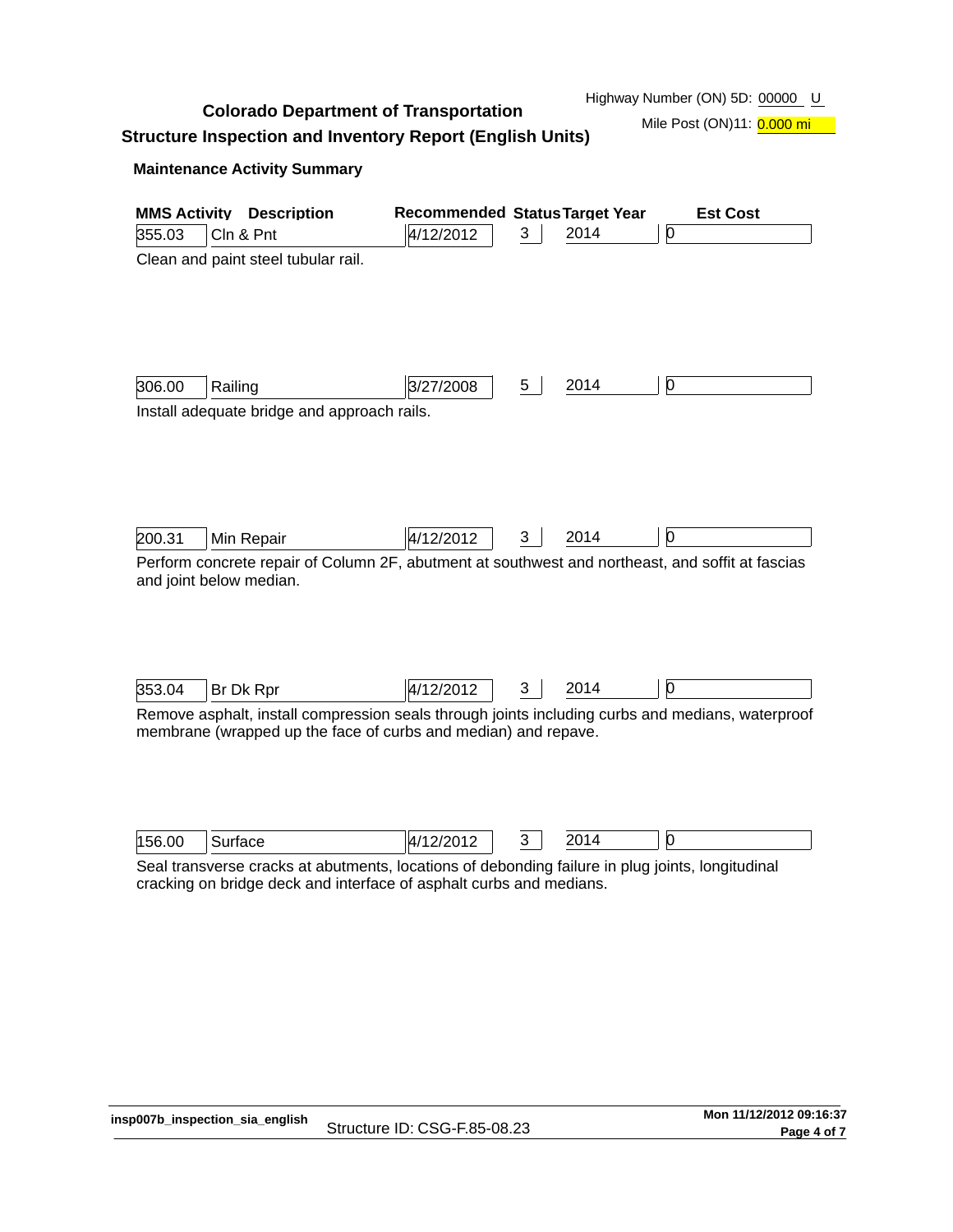**Colorado Department of Transportation**

Highway Number (ON) 5D: 00000 U

Mile Post (ON)11: 0.000 mi

# **Structure Inspection and Inventory Report (English Units)**

## **Maintenance Activity Summary**

| <b>MMS Activity</b><br>355.03 | <b>Description</b><br>Cln & Pnt                                                                                                                                         | <b>Recommended Status Target Year</b><br>4/12/2012 | 3 | 2014 | <b>Est Cost</b><br>O |
|-------------------------------|-------------------------------------------------------------------------------------------------------------------------------------------------------------------------|----------------------------------------------------|---|------|----------------------|
|                               | Clean and paint steel tubular rail.                                                                                                                                     |                                                    |   |      |                      |
|                               |                                                                                                                                                                         |                                                    |   |      |                      |
|                               |                                                                                                                                                                         |                                                    |   |      |                      |
|                               |                                                                                                                                                                         |                                                    |   |      |                      |
| 306.00                        | Railing                                                                                                                                                                 | 3/27/2008                                          | 5 | 2014 | 0                    |
|                               | Install adequate bridge and approach rails.                                                                                                                             |                                                    |   |      |                      |
|                               |                                                                                                                                                                         |                                                    |   |      |                      |
|                               |                                                                                                                                                                         |                                                    |   |      |                      |
|                               |                                                                                                                                                                         |                                                    |   |      |                      |
| 200.31                        | Min Repair                                                                                                                                                              | 4/12/2012                                          | 3 | 2014 | 0                    |
|                               | Perform concrete repair of Column 2F, abutment at southwest and northeast, and soffit at fascias<br>and joint below median.                                             |                                                    |   |      |                      |
|                               |                                                                                                                                                                         |                                                    |   |      |                      |
|                               |                                                                                                                                                                         |                                                    |   |      |                      |
|                               |                                                                                                                                                                         |                                                    |   |      |                      |
| 353.04                        | Br Dk Rpr                                                                                                                                                               | 4/12/2012                                          | 3 | 2014 |                      |
|                               | Remove asphalt, install compression seals through joints including curbs and medians, waterproof                                                                        |                                                    |   |      |                      |
|                               | membrane (wrapped up the face of curbs and median) and repave.                                                                                                          |                                                    |   |      |                      |
|                               |                                                                                                                                                                         |                                                    |   |      |                      |
|                               |                                                                                                                                                                         |                                                    |   |      |                      |
| 156.00                        | Surface                                                                                                                                                                 | 4/12/2012                                          | 3 | 2014 | 0                    |
|                               | Seal transverse cracks at abutments, locations of debonding failure in plug joints, longitudinal<br>cracking on bridge deck and interface of asphalt curbs and medians. |                                                    |   |      |                      |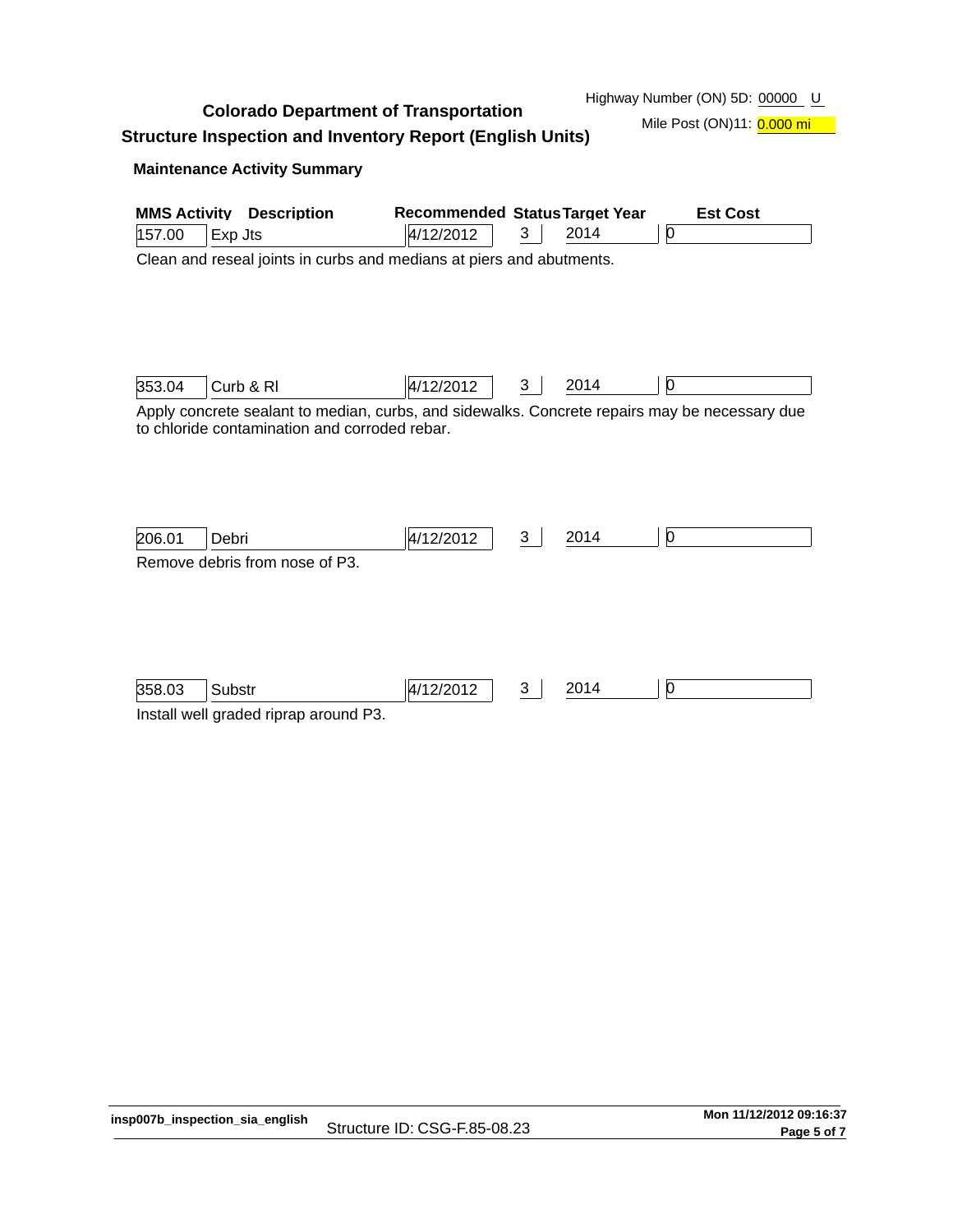**Colorado Department of Transportation**

Highway Number (ON) 5D: 00000 U

Mile Post (ON)11: 0.000 mi

**Structure Inspection and Inventory Report (English Units)**

## **Maintenance Activity Summary**

| <b>MMS Activity</b> | <b>Description</b>                                                                                                                             | <b>Recommended Status Target Year</b> |   |      | <b>Est Cost</b> |
|---------------------|------------------------------------------------------------------------------------------------------------------------------------------------|---------------------------------------|---|------|-----------------|
| 157.00              | Exp Jts                                                                                                                                        | 4/12/2012                             | 3 | 2014 | 0               |
|                     | Clean and reseal joints in curbs and medians at piers and abutments.                                                                           |                                       |   |      |                 |
| 353.04              | Curb & RI                                                                                                                                      | 4/12/2012                             | 3 | 2014 | 0               |
|                     | Apply concrete sealant to median, curbs, and sidewalks. Concrete repairs may be necessary due<br>to chloride contamination and corroded rebar. |                                       |   |      |                 |
| 206.01              | Debri                                                                                                                                          | 4/12/2012                             | 3 | 2014 | Ю               |
|                     | Remove debris from nose of P3.                                                                                                                 |                                       |   |      |                 |
| 358.03              | Substr                                                                                                                                         | 4/12/2012                             | 3 | 2014 | 0               |
|                     | Install well graded riprap around P3.                                                                                                          |                                       |   |      |                 |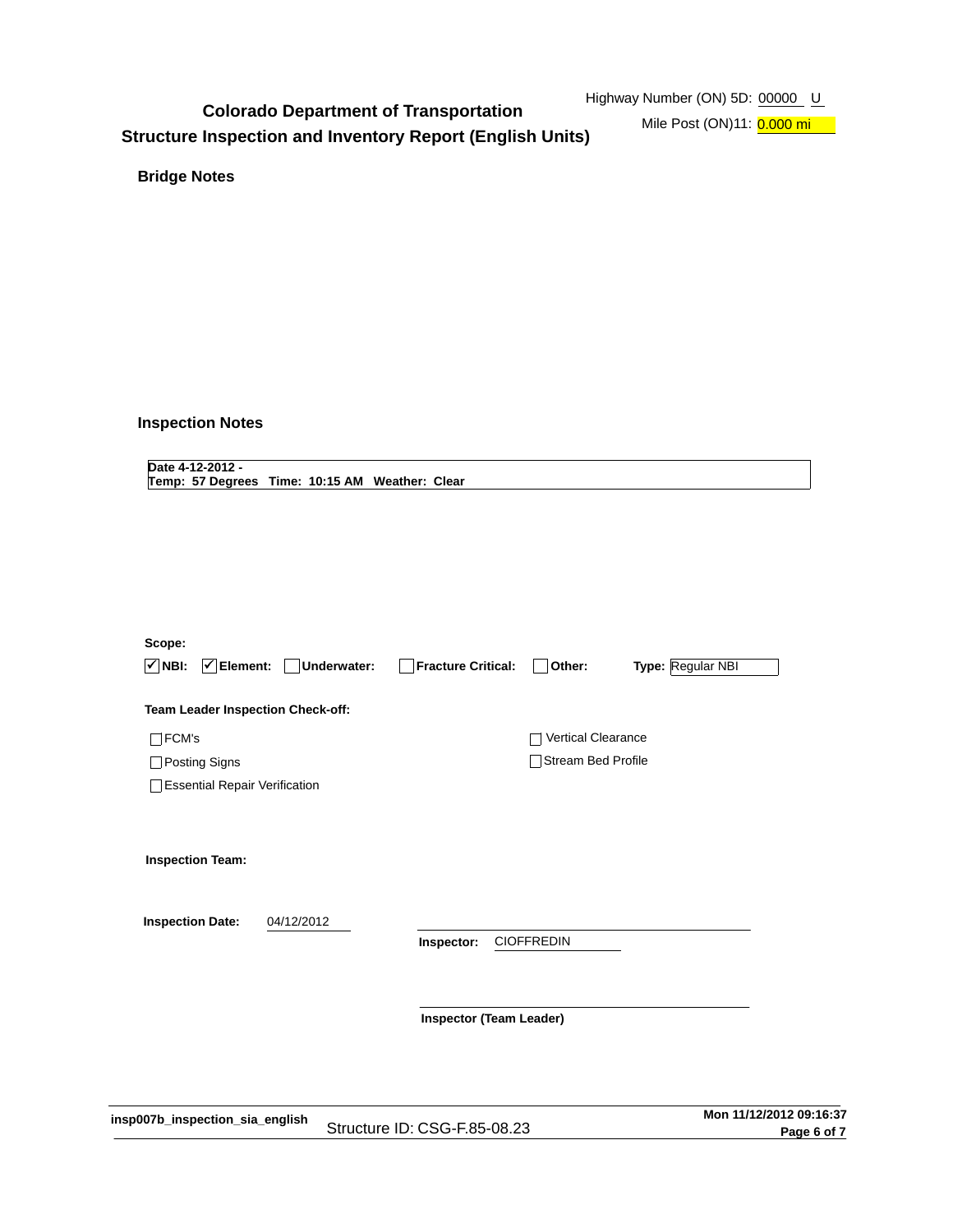# **Colorado Department of Transportation Structure Inspection and Inventory Report (English Units)**

Mile Post (ON)11: 0.000 mi

**Bridge Notes**

## **Inspection Notes**

**Date 4-12-2012 - Temp: 57 Degrees Time: 10:15 AM Weather: Clear**

| Scope:<br>$\sqrt{ }$ NBI:<br>$ \mathcal{V} $ Element: | Underwater:<br>$\mathbf{I}$ | <b>Fracture Critical:</b>      | Other:                    | Type: Regular NBI |
|-------------------------------------------------------|-----------------------------|--------------------------------|---------------------------|-------------------|
| Team Leader Inspection Check-off:                     |                             |                                |                           |                   |
| FCM's                                                 |                             |                                | <b>Vertical Clearance</b> |                   |
| Posting Signs                                         |                             |                                | <b>Stream Bed Profile</b> |                   |
| <b>Essential Repair Verification</b>                  |                             |                                |                           |                   |
| <b>Inspection Team:</b><br><b>Inspection Date:</b>    | 04/12/2012                  |                                |                           |                   |
|                                                       |                             | Inspector:                     | <b>CIOFFREDIN</b>         |                   |
|                                                       |                             | <b>Inspector (Team Leader)</b> |                           |                   |